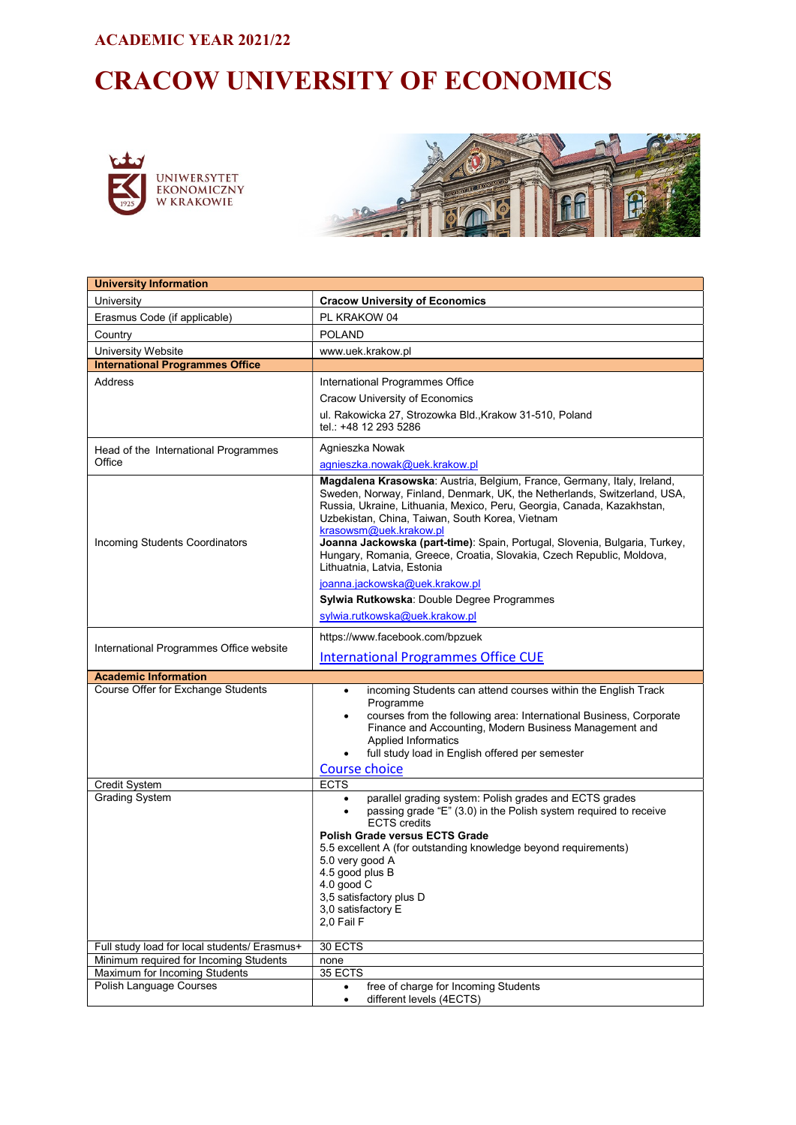#### ACADEMIC YEAR 2021/22

# CRACOW UNIVERSITY OF ECONOMICS





| <b>University Information</b>                            |                                                                                                                                                                                                                                                                                                                                                                                                                                                                                                  |  |  |
|----------------------------------------------------------|--------------------------------------------------------------------------------------------------------------------------------------------------------------------------------------------------------------------------------------------------------------------------------------------------------------------------------------------------------------------------------------------------------------------------------------------------------------------------------------------------|--|--|
| University                                               | <b>Cracow University of Economics</b>                                                                                                                                                                                                                                                                                                                                                                                                                                                            |  |  |
| Erasmus Code (if applicable)                             | PL KRAKOW 04                                                                                                                                                                                                                                                                                                                                                                                                                                                                                     |  |  |
| Country                                                  | <b>POLAND</b>                                                                                                                                                                                                                                                                                                                                                                                                                                                                                    |  |  |
| University Website                                       | www.uek.krakow.pl                                                                                                                                                                                                                                                                                                                                                                                                                                                                                |  |  |
| <b>International Programmes Office</b>                   |                                                                                                                                                                                                                                                                                                                                                                                                                                                                                                  |  |  |
| Address                                                  | International Programmes Office                                                                                                                                                                                                                                                                                                                                                                                                                                                                  |  |  |
|                                                          | <b>Cracow University of Economics</b>                                                                                                                                                                                                                                                                                                                                                                                                                                                            |  |  |
|                                                          | ul. Rakowicka 27, Strozowka Bld., Krakow 31-510, Poland<br>tel.: +48 12 293 5286                                                                                                                                                                                                                                                                                                                                                                                                                 |  |  |
| Head of the International Programmes                     | Agnieszka Nowak                                                                                                                                                                                                                                                                                                                                                                                                                                                                                  |  |  |
| Office                                                   | agnieszka.nowak@uek.krakow.pl                                                                                                                                                                                                                                                                                                                                                                                                                                                                    |  |  |
| Incoming Students Coordinators                           | Magdalena Krasowska: Austria, Belgium, France, Germany, Italy, Ireland,<br>Sweden, Norway, Finland, Denmark, UK, the Netherlands, Switzerland, USA,<br>Russia, Ukraine, Lithuania, Mexico, Peru, Georgia, Canada, Kazakhstan,<br>Uzbekistan, China, Taiwan, South Korea, Vietnam<br>krasowsm@uek.krakow.pl<br>Joanna Jackowska (part-time): Spain, Portugal, Slovenia, Bulgaria, Turkey,<br>Hungary, Romania, Greece, Croatia, Slovakia, Czech Republic, Moldova,<br>Lithuatnia, Latvia, Estonia |  |  |
|                                                          | joanna.jackowska@uek.krakow.pl                                                                                                                                                                                                                                                                                                                                                                                                                                                                   |  |  |
|                                                          | Sylwia Rutkowska: Double Degree Programmes                                                                                                                                                                                                                                                                                                                                                                                                                                                       |  |  |
|                                                          | sylwia.rutkowska@uek.krakow.pl                                                                                                                                                                                                                                                                                                                                                                                                                                                                   |  |  |
| International Programmes Office website                  | https://www.facebook.com/bpzuek                                                                                                                                                                                                                                                                                                                                                                                                                                                                  |  |  |
|                                                          | <b>International Programmes Office CUE</b>                                                                                                                                                                                                                                                                                                                                                                                                                                                       |  |  |
| <b>Academic Information</b>                              |                                                                                                                                                                                                                                                                                                                                                                                                                                                                                                  |  |  |
| Course Offer for Exchange Students                       | incoming Students can attend courses within the English Track<br>$\bullet$<br>Programme<br>courses from the following area: International Business, Corporate<br>٠<br>Finance and Accounting, Modern Business Management and<br><b>Applied Informatics</b><br>full study load in English offered per semester<br><b>Course choice</b>                                                                                                                                                            |  |  |
| Credit System                                            | <b>ECTS</b>                                                                                                                                                                                                                                                                                                                                                                                                                                                                                      |  |  |
| <b>Grading System</b>                                    | parallel grading system: Polish grades and ECTS grades<br>passing grade "E" (3.0) in the Polish system required to receive<br>$\bullet$<br><b>ECTS</b> credits<br><b>Polish Grade versus ECTS Grade</b><br>5.5 excellent A (for outstanding knowledge beyond requirements)<br>5.0 very good A<br>4.5 good plus B<br>4.0 good C<br>3,5 satisfactory plus D<br>3,0 satisfactory E<br>2,0 Fail F                                                                                                    |  |  |
| Full study load for local students/ Erasmus+             | 30 ECTS                                                                                                                                                                                                                                                                                                                                                                                                                                                                                          |  |  |
| Minimum required for Incoming Students                   | none                                                                                                                                                                                                                                                                                                                                                                                                                                                                                             |  |  |
| Maximum for Incoming Students<br>Polish Language Courses | 35 ECTS<br>free of charge for Incoming Students                                                                                                                                                                                                                                                                                                                                                                                                                                                  |  |  |
|                                                          | different levels (4ECTS)<br>$\bullet$                                                                                                                                                                                                                                                                                                                                                                                                                                                            |  |  |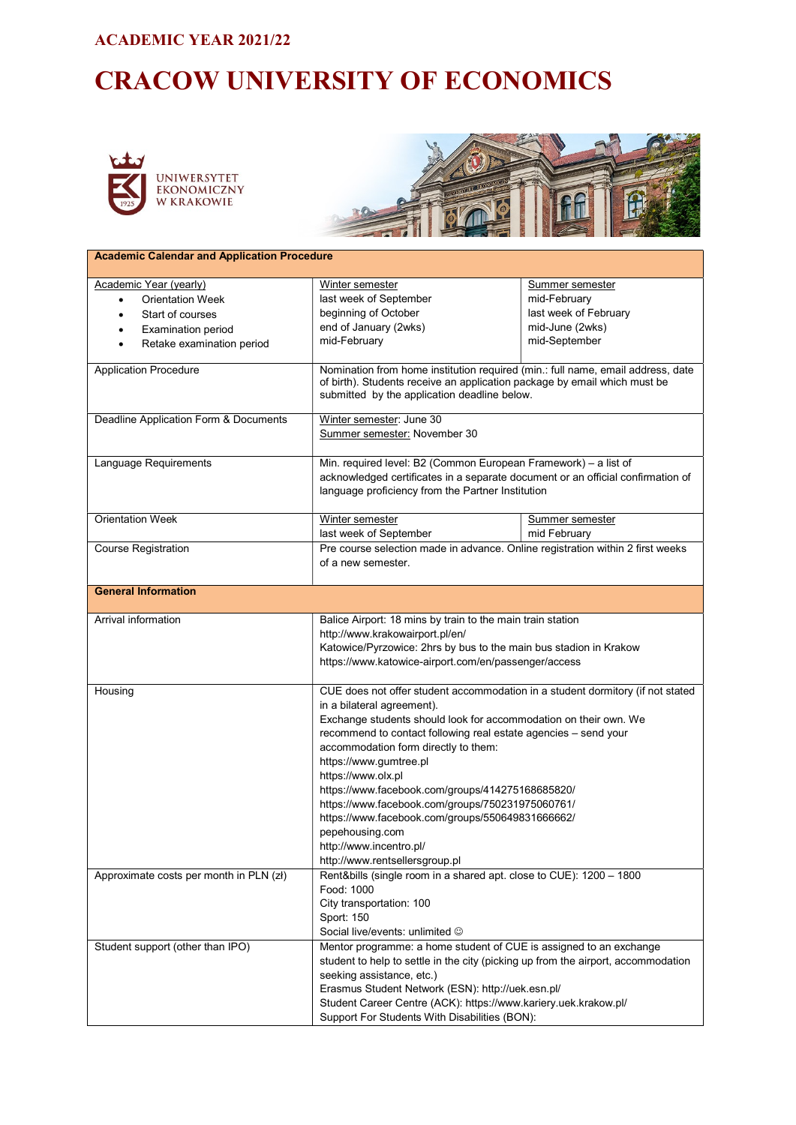#### ACADEMIC YEAR 2021/22

# CRACOW UNIVERSITY OF ECONOMICS





| <b>Academic Calendar and Application Procedure</b>    |                                                                                                                                                                                                              |                       |  |
|-------------------------------------------------------|--------------------------------------------------------------------------------------------------------------------------------------------------------------------------------------------------------------|-----------------------|--|
| <b>Academic Year (yearly)</b>                         | Winter semester                                                                                                                                                                                              | Summer semester       |  |
| <b>Orientation Week</b><br>$\bullet$                  | last week of September                                                                                                                                                                                       | mid-February          |  |
| Start of courses<br>$\bullet$                         | beginning of October                                                                                                                                                                                         | last week of February |  |
| Examination period                                    | end of January (2wks)                                                                                                                                                                                        | mid-June (2wks)       |  |
| Retake examination period<br>$\bullet$                | mid-February                                                                                                                                                                                                 | mid-September         |  |
|                                                       |                                                                                                                                                                                                              |                       |  |
| <b>Application Procedure</b>                          | Nomination from home institution required (min.: full name, email address, date<br>of birth). Students receive an application package by email which must be<br>submitted by the application deadline below. |                       |  |
| Deadline Application Form & Documents                 | Winter semester: June 30<br>Summer semester: November 30                                                                                                                                                     |                       |  |
| Language Requirements                                 | Min. required level: B2 (Common European Framework) - a list of                                                                                                                                              |                       |  |
|                                                       | acknowledged certificates in a separate document or an official confirmation of                                                                                                                              |                       |  |
|                                                       | language proficiency from the Partner Institution                                                                                                                                                            |                       |  |
| <b>Orientation Week</b>                               | Winter semester                                                                                                                                                                                              | Summer semester       |  |
|                                                       | last week of September                                                                                                                                                                                       | mid February          |  |
| <b>Course Registration</b>                            | Pre course selection made in advance. Online registration within 2 first weeks<br>of a new semester.                                                                                                         |                       |  |
| <b>General Information</b>                            |                                                                                                                                                                                                              |                       |  |
| Arrival information                                   | Balice Airport: 18 mins by train to the main train station                                                                                                                                                   |                       |  |
|                                                       | http://www.krakowairport.pl/en/                                                                                                                                                                              |                       |  |
|                                                       | Katowice/Pyrzowice: 2hrs by bus to the main bus stadion in Krakow                                                                                                                                            |                       |  |
|                                                       | https://www.katowice-airport.com/en/passenger/access                                                                                                                                                         |                       |  |
| Housing                                               | CUE does not offer student accommodation in a student dormitory (if not stated                                                                                                                               |                       |  |
|                                                       | in a bilateral agreement).                                                                                                                                                                                   |                       |  |
|                                                       | Exchange students should look for accommodation on their own. We                                                                                                                                             |                       |  |
|                                                       | recommend to contact following real estate agencies - send your                                                                                                                                              |                       |  |
|                                                       | accommodation form directly to them:                                                                                                                                                                         |                       |  |
|                                                       | https://www.gumtree.pl                                                                                                                                                                                       |                       |  |
|                                                       | https://www.olx.pl                                                                                                                                                                                           |                       |  |
|                                                       |                                                                                                                                                                                                              |                       |  |
|                                                       | https://www.facebook.com/groups/414275168685820/<br>https://www.facebook.com/groups/750231975060761/                                                                                                         |                       |  |
|                                                       | https://www.facebook.com/groups/550649831666662/                                                                                                                                                             |                       |  |
|                                                       | pepehousing.com                                                                                                                                                                                              |                       |  |
|                                                       | http://www.incentro.pl/                                                                                                                                                                                      |                       |  |
|                                                       | http://www.rentsellersgroup.pl                                                                                                                                                                               |                       |  |
|                                                       | Rent&bills (single room in a shared apt. close to CUE): 1200 - 1800                                                                                                                                          |                       |  |
| Approximate costs per month in PLN (zł)<br>Food: 1000 |                                                                                                                                                                                                              |                       |  |
|                                                       | City transportation: 100                                                                                                                                                                                     |                       |  |
|                                                       | Sport: 150                                                                                                                                                                                                   |                       |  |
|                                                       | Social live/events: unlimited ©                                                                                                                                                                              |                       |  |
| Student support (other than IPO)                      | Mentor programme: a home student of CUE is assigned to an exchange                                                                                                                                           |                       |  |
|                                                       | student to help to settle in the city (picking up from the airport, accommodation                                                                                                                            |                       |  |
|                                                       | seeking assistance, etc.)                                                                                                                                                                                    |                       |  |
|                                                       | Erasmus Student Network (ESN): http://uek.esn.pl/                                                                                                                                                            |                       |  |
|                                                       | Student Career Centre (ACK): https://www.kariery.uek.krakow.pl/                                                                                                                                              |                       |  |
|                                                       | Support For Students With Disabilities (BON):                                                                                                                                                                |                       |  |
|                                                       |                                                                                                                                                                                                              |                       |  |